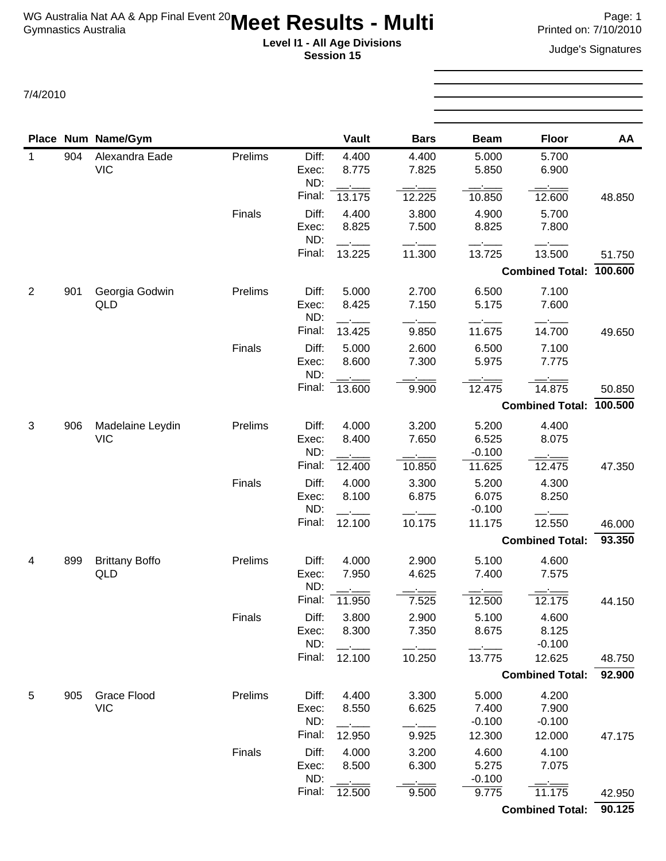## **Level I1 - All Age Divisions** Judge's Signatures **Session 15**

7/4/2010

|              |     | Place Num Name/Gym             |         |                                 | Vault                    | <b>Bars</b>             | <b>Beam</b>                          | <b>Floor</b>                         | AA               |
|--------------|-----|--------------------------------|---------|---------------------------------|--------------------------|-------------------------|--------------------------------------|--------------------------------------|------------------|
| $\mathbf{1}$ | 904 | Alexandra Eade<br><b>VIC</b>   | Prelims | Diff:<br>Exec:<br>ND:           | 4.400<br>8.775           | 4.400<br>7.825          | 5.000<br>5.850                       | 5.700<br>6.900                       |                  |
|              |     |                                |         | Final:                          | 13.175                   | 12.225                  | 10.850                               | 12.600                               | 48.850           |
|              |     |                                | Finals  | Diff:<br>Exec:<br>ND:           | 4.400<br>8.825           | 3.800<br>7.500          | 4.900<br>8.825                       | 5.700<br>7.800                       |                  |
|              |     |                                |         | Final:                          | 13.225                   | 11.300                  | 13.725                               | 13.500                               | 51.750           |
|              |     |                                |         |                                 |                          |                         |                                      | Combined Total: 100.600              |                  |
| 2            | 901 | Georgia Godwin<br>QLD          | Prelims | Diff:<br>Exec:<br>ND:           | 5.000<br>8.425           | 2.700<br>7.150          | 6.500<br>5.175                       | 7.100<br>7.600                       |                  |
|              |     |                                |         | Final:                          | 13.425                   | 9.850                   | 11.675                               | 14.700                               | 49.650           |
|              |     |                                | Finals  | Diff:<br>Exec:                  | 5.000<br>8.600           | 2.600<br>7.300          | 6.500<br>5.975                       | 7.100<br>7.775                       |                  |
|              |     |                                |         | ND:<br>Final:                   | 13.600                   | 9.900                   | 12.475                               | 14.875                               | 50.850           |
|              |     |                                |         |                                 |                          |                         |                                      | <b>Combined Total:</b>               | 100.500          |
| 3            | 906 | Madelaine Leydin<br><b>VIC</b> | Prelims | Diff:<br>Exec:<br>ND:           | 4.000<br>8.400           | 3.200<br>7.650          | 5.200<br>6.525<br>$-0.100$           | 4.400<br>8.075                       |                  |
|              |     |                                |         | Final:                          | 12.400                   | 10.850                  | 11.625                               | 12.475                               | 47.350           |
|              |     |                                | Finals  | Diff:<br>Exec:<br>ND:           | 4.000<br>8.100           | 3.300<br>6.875          | 5.200<br>6.075<br>$-0.100$           | 4.300<br>8.250                       |                  |
|              |     |                                |         | Final:                          | 12.100                   | 10.175                  | 11.175                               | 12.550                               | 46.000           |
|              |     |                                |         |                                 |                          |                         |                                      | <b>Combined Total:</b>               | 93.350           |
| 4            | 899 | <b>Brittany Boffo</b><br>QLD   | Prelims | Diff:<br>Exec:<br>ND:           | 4.000<br>7.950           | 2.900<br>4.625          | 5.100<br>7.400                       | 4.600<br>7.575                       |                  |
|              |     |                                |         | Final:                          | 11.950                   | 7.525                   | 12.500                               | 12.175                               | 44.150           |
|              |     |                                | Finals  | Diff:<br>Exec:<br>ND:           | 3.800<br>8.300           | 2.900<br>7.350          | 5.100<br>8.675                       | 4.600<br>8.125<br>$-0.100$           |                  |
|              |     |                                |         | Final:                          | 12.100                   | 10.250                  | 13.775                               | 12.625                               | 48.750           |
|              |     |                                |         |                                 |                          |                         |                                      | <b>Combined Total:</b>               | 92.900           |
| 5            | 905 | Grace Flood<br><b>VIC</b>      | Prelims | Diff:<br>Exec:<br>ND:<br>Final: | 4.400<br>8.550<br>12.950 | 3.300<br>6.625<br>9.925 | 5.000<br>7.400<br>$-0.100$<br>12.300 | 4.200<br>7.900<br>$-0.100$<br>12.000 | 47.175           |
|              |     |                                | Finals  | Diff:<br>Exec:<br>ND:           | 4.000<br>8.500           | 3.200<br>6.300          | 4.600<br>5.275<br>$-0.100$           | 4.100<br>7.075                       |                  |
|              |     |                                |         | Final:                          | 12.500                   | 9.500                   | 9.775                                | 11.175<br><b>Combined Total:</b>     | 42.950<br>90.125 |